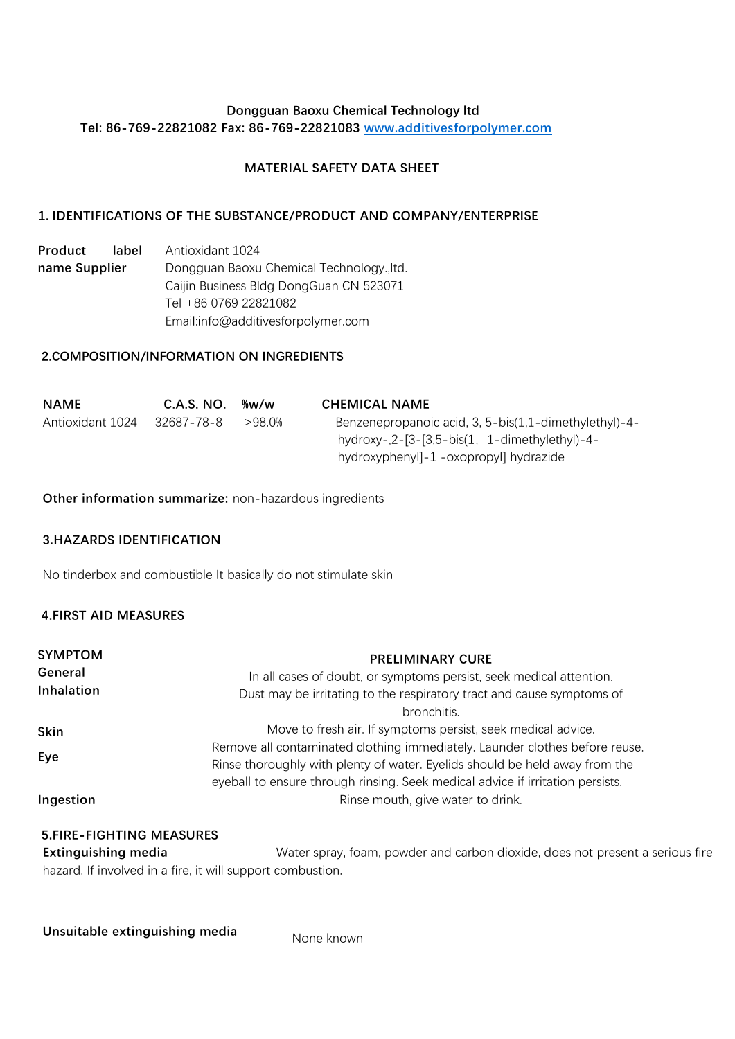### **Dongguan Baoxu Chemical Technology ltd Tel: 86-769-22821082 Fax: 86-769-22821083 [www.additivesforpolymer.com](http://www.sunychem.com/)**

## **MATERIAL SAFETY DATA SHEET**

## **1. IDENTIFICATIONS OF THE SUBSTANCE/PRODUCT AND COMPANY/ENTERPRISE**

**Product label name Supplier** Antioxidant 1024 Dongguan Baoxu Chemical Technology.,ltd. Caijin Business Bldg DongGuan CN 523071 Tel +86 0769 22821082 Email:info@additivesforpolymer.com

### **2.COMPOSITION/INFORMATION ON INGREDIENTS**

| <b>NAME</b>      | C.A.S. NO. | ‰w/w      | <b>CHEMICAL NAME</b>                                  |
|------------------|------------|-----------|-------------------------------------------------------|
| Antioxidant 1024 | 32687-78-8 | $>98.0\%$ | Benzenepropanoic acid, 3, 5-bis(1,1-dimethylethyl)-4- |
|                  |            |           | hydroxy-, $2$ -[3-[3,5-bis(1, 1-dimethylethyl)-4-     |
|                  |            |           | hydroxyphenyl]-1 -oxopropyl] hydrazide                |

**Other information summarize:** non-hazardous ingredients

### **3.HAZARDS IDENTIFICATION**

No tinderbox and combustible It basically do not stimulate skin

### **4.FIRST AID MEASURES**

| <b>SYMPTOM</b> | <b>PRELIMINARY CURE</b>                                                        |
|----------------|--------------------------------------------------------------------------------|
| General        | In all cases of doubt, or symptoms persist, seek medical attention.            |
| Inhalation     | Dust may be irritating to the respiratory tract and cause symptoms of          |
|                | bronchitis.                                                                    |
| Skin           | Move to fresh air. If symptoms persist, seek medical advice.                   |
| Eye            | Remove all contaminated clothing immediately. Launder clothes before reuse.    |
|                | Rinse thoroughly with plenty of water. Eyelids should be held away from the    |
|                | eyeball to ensure through rinsing. Seek medical advice if irritation persists. |
| Ingestion      | Rinse mouth, give water to drink.                                              |

#### **5.FIRE-FIGHTING MEASURES**

**Extinguishing media** Water spray, foam, powder and carbon dioxide, does not present a serious fire hazard. If involved in a fire, it will support combustion.

**Unsuitable extinguishing media** None known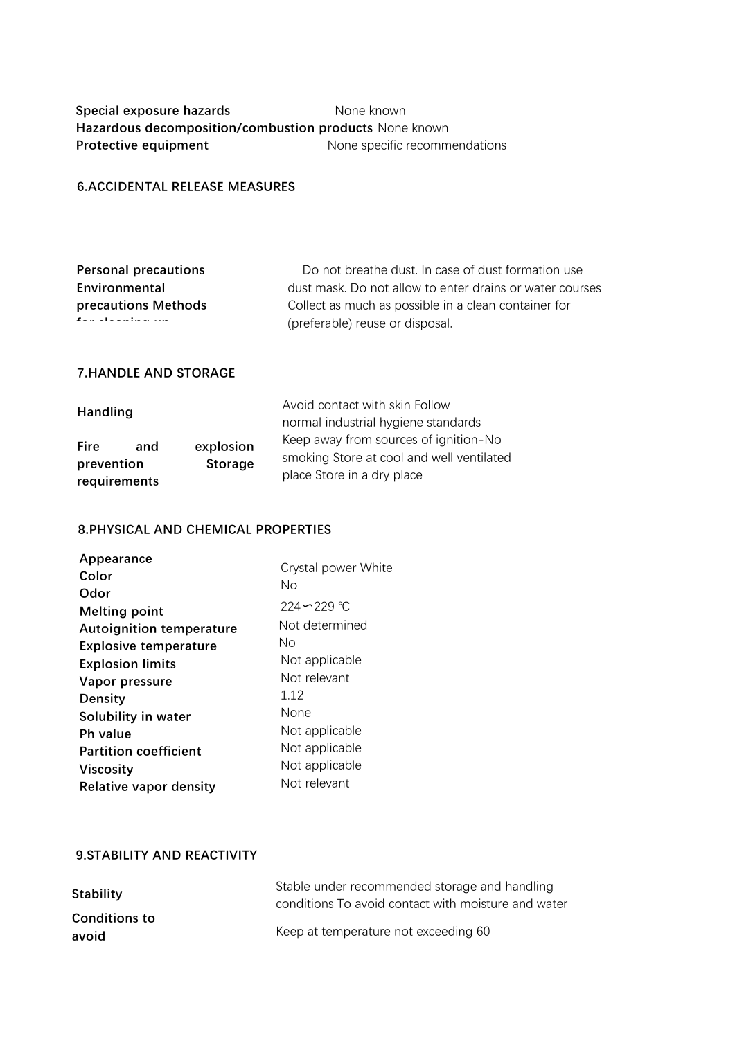## **Special exposure hazards** None known **Hazardous decomposition/combustion products** None known **Protective equipment** None specific recommendations

## **6.ACCIDENTAL RELEASE MEASURES**

| <b>Personal precautions</b>                  | Do not breathe dust. In case of dust formation use       |
|----------------------------------------------|----------------------------------------------------------|
| Environmental                                | dust mask. Do not allow to enter drains or water courses |
| precautions Methods                          | Collect as much as possible in a clean container for     |
| the control of the control of the control of | (preferable) reuse or disposal.                          |

## **7.HANDLE AND STORAGE**

| <b>Handling</b>            |     |                | Avoid contact with skin Follow            |
|----------------------------|-----|----------------|-------------------------------------------|
|                            |     |                | normal industrial hygiene standards       |
| <b>Fire</b>                | and | explosion      | Keep away from sources of ignition-No     |
| prevention<br>requirements |     | <b>Storage</b> | place Store in a dry place                |
|                            |     |                | smoking Store at cool and well ventilated |

### **8.PHYSICAL AND CHEMICAL PROPERTIES**

| Appearance                      | Crystal power White |
|---------------------------------|---------------------|
| Color                           | No                  |
| Odor                            |                     |
| <b>Melting point</b>            | $224 - 229$ °C      |
| <b>Autoignition temperature</b> | Not determined      |
| <b>Explosive temperature</b>    | Nο                  |
| <b>Explosion limits</b>         | Not applicable      |
| Vapor pressure                  | Not relevant        |
| <b>Density</b>                  | 1 12                |
| Solubility in water             | None                |
| Ph value                        | Not applicable      |
| <b>Partition coefficient</b>    | Not applicable      |
| <b>Viscosity</b>                | Not applicable      |
| <b>Relative vapor density</b>   | Not relevant        |

# **9.STABILITY AND REACTIVITY**

| <b>Stability</b>     | Stable under recommended storage and handling<br>conditions To avoid contact with moisture and water |  |
|----------------------|------------------------------------------------------------------------------------------------------|--|
| <b>Conditions to</b> |                                                                                                      |  |
| avoid                | Keep at temperature not exceeding 60                                                                 |  |